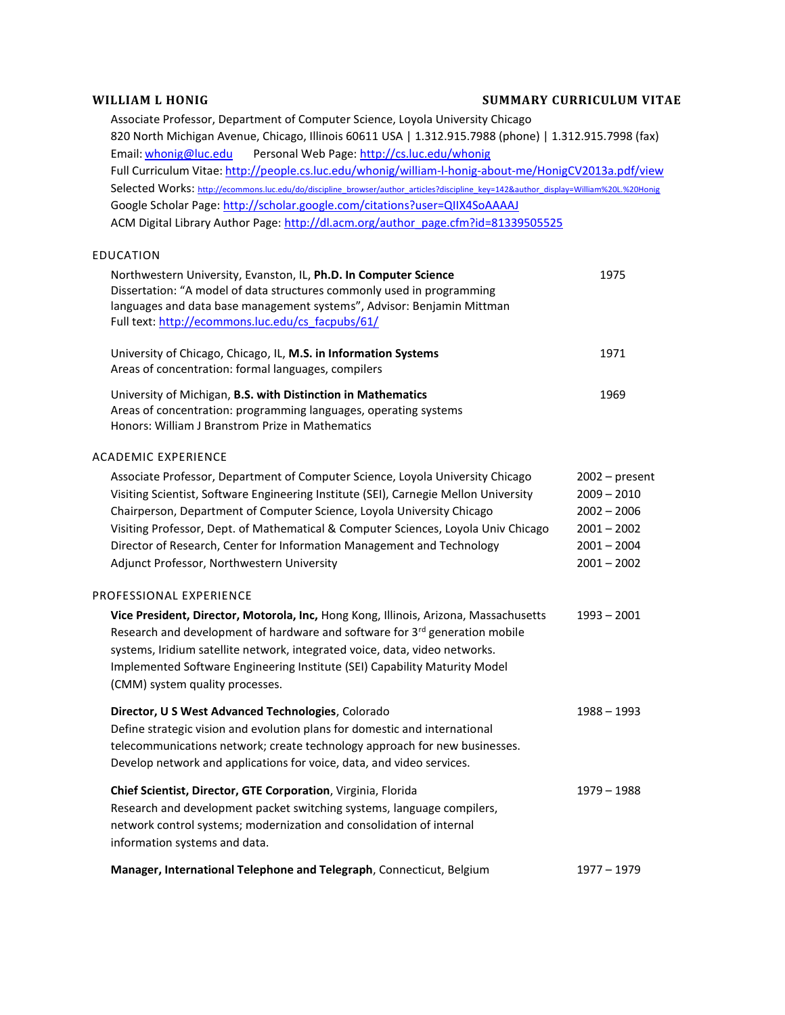EDUCATION

## **WILLIAM L HONIG SUMMARY CURRICULUM VITAE**

Associate Professor, Department of Computer Science, Loyola University Chicago 820 North Michigan Avenue, Chicago, Illinois 60611 USA | 1.312.915.7988 (phone) | 1.312.915.7998 (fax) Email: [whonig@luc.edu](mailto:whonig@luc.edu) Personal Web Page: <http://cs.luc.edu/whonig> Full Curriculum Vitae: <http://people.cs.luc.edu/whonig/william-l-honig-about-me/HonigCV2013a.pdf/view> Selected Works: [http://ecommons.luc.edu/do/discipline\\_browser/author\\_articles?discipline\\_key=142&author\\_display=William%20L.%20Honig](http://ecommons.luc.edu/do/discipline_browser/author_articles?discipline_key=142&author_display=William%20L.%20Honig) Google Scholar Page: <http://scholar.google.com/citations?user=QIIX4SoAAAAJ> ACM Digital Library Author Page: [http://dl.acm.org/author\\_page.cfm?id=81339505525](http://dl.acm.org/author_page.cfm?id=81339505525)

| Northwestern University, Evanston, IL, Ph.D. In Computer Science<br>Dissertation: "A model of data structures commonly used in programming<br>languages and data base management systems", Advisor: Benjamin Mittman<br>Full text: http://ecommons.luc.edu/cs facpubs/61/ | 1975 |
|---------------------------------------------------------------------------------------------------------------------------------------------------------------------------------------------------------------------------------------------------------------------------|------|
| University of Chicago, Chicago, IL, M.S. in Information Systems<br>Areas of concentration: formal languages, compilers                                                                                                                                                    | 1971 |
| University of Michigan, <b>B.S. with Distinction in Mathematics</b><br>Areas of concentration: programming languages, operating systems<br>Honors: William J Branstrom Prize in Mathematics                                                                               | 1969 |

## ACADEMIC EXPERIENCE

| Associate Professor, Department of Computer Science, Loyola University Chicago<br>Visiting Scientist, Software Engineering Institute (SEI), Carnegie Mellon University                                                                                                                                                                                                          | $2002$ – present<br>$2009 - 2010$ |
|---------------------------------------------------------------------------------------------------------------------------------------------------------------------------------------------------------------------------------------------------------------------------------------------------------------------------------------------------------------------------------|-----------------------------------|
| Chairperson, Department of Computer Science, Loyola University Chicago<br>Visiting Professor, Dept. of Mathematical & Computer Sciences, Loyola Univ Chicago                                                                                                                                                                                                                    | $2002 - 2006$<br>$2001 - 2002$    |
| Director of Research, Center for Information Management and Technology                                                                                                                                                                                                                                                                                                          | $2001 - 2004$                     |
| Adjunct Professor, Northwestern University                                                                                                                                                                                                                                                                                                                                      | $2001 - 2002$                     |
| PROFESSIONAL EXPERIENCE                                                                                                                                                                                                                                                                                                                                                         |                                   |
| Vice President, Director, Motorola, Inc, Hong Kong, Illinois, Arizona, Massachusetts<br>Research and development of hardware and software for 3 <sup>rd</sup> generation mobile<br>systems, Iridium satellite network, integrated voice, data, video networks.<br>Implemented Software Engineering Institute (SEI) Capability Maturity Model<br>(CMM) system quality processes. | $1993 - 2001$                     |
| Director, U S West Advanced Technologies, Colorado<br>Define strategic vision and evolution plans for domestic and international<br>telecommunications network; create technology approach for new businesses.<br>Develop network and applications for voice, data, and video services.                                                                                         | $1988 - 1993$                     |
| Chief Scientist, Director, GTE Corporation, Virginia, Florida<br>Research and development packet switching systems, language compilers,<br>network control systems; modernization and consolidation of internal<br>information systems and data.                                                                                                                                | $1979 - 1988$                     |
|                                                                                                                                                                                                                                                                                                                                                                                 |                                   |

**Manager, International Telephone and Telegraph**, Connecticut, Belgium 1977 – 1979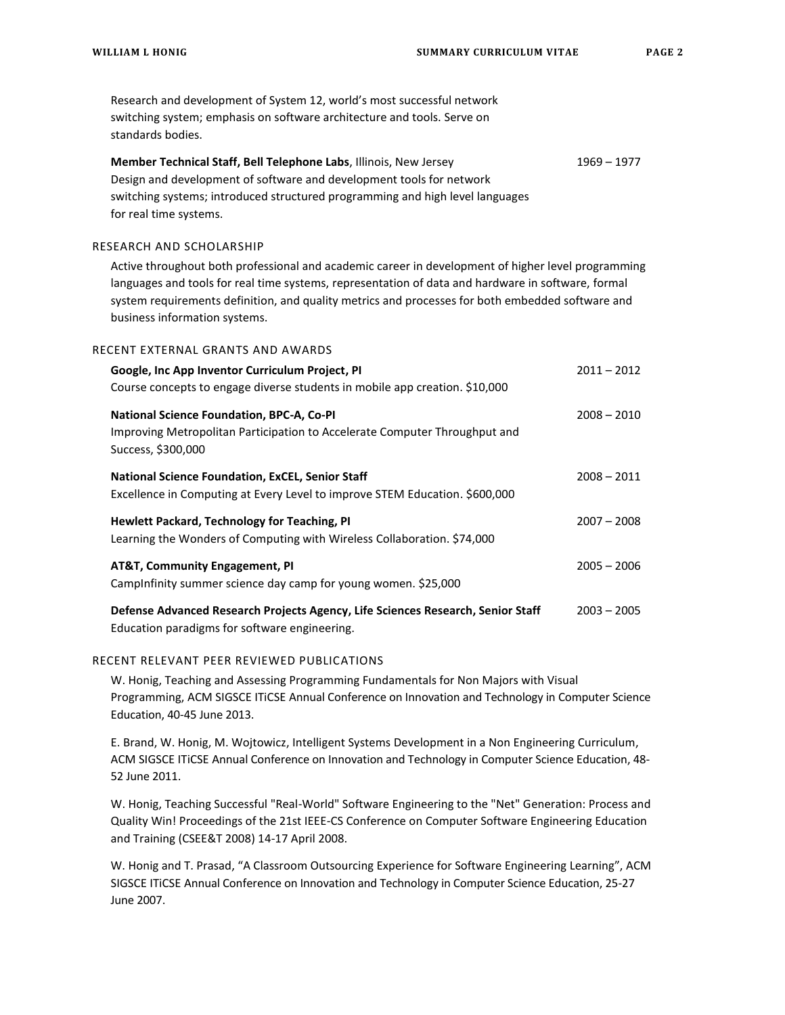Research and development of System 12, world's most successful network switching system; emphasis on software architecture and tools. Serve on standards bodies. **Member Technical Staff, Bell Telephone Labs**, Illinois, New Jersey 1969 – 1977 Design and development of software and development tools for network switching systems; introduced structured programming and high level languages for real time systems. RESEARCH AND SCHOLARSHIP Active throughout both professional and academic career in development of higher level programming languages and tools for real time systems, representation of data and hardware in software, formal system requirements definition, and quality metrics and processes for both embedded software and business information systems. RECENT EXTERNAL GRANTS AND AWARDS **Google, Inc App Inventor Curriculum Project, PI** 2011 12012 2011 - 2012 Course concepts to engage diverse students in mobile app creation. \$10,000 **National Science Foundation, BPC-A, Co-PI** 2008 – 2008 – 2008 – 2010 Improving Metropolitan Participation to Accelerate Computer Throughput and Success, \$300,000 **National Science Foundation, ExCEL, Senior Staff** 2008 12008 – 2011 Excellence in Computing at Every Level to improve STEM Education. \$600,000 **Hewlett Packard, Technology for Teaching, PI** 2007 – 2008 Learning the Wonders of Computing with Wireless Collaboration. \$74,000 **AT&T, Community Engagement, PI** 2005 – 2006 CampInfinity summer science day camp for young women. \$25,000 **Defense Advanced Research Projects Agency, Life Sciences Research, Senior Staff** 2003 – 2005 Education paradigms for software engineering.

## RECENT RELEVANT PEER REVIEWED PUBLICATIONS

W. Honig, Teaching and Assessing Programming Fundamentals for Non Majors with Visual Programming, ACM SIGSCE ITiCSE Annual Conference on Innovation and Technology in Computer Science Education, 40-45 June 2013.

E. Brand, W. Honig, M. Wojtowicz, Intelligent Systems Development in a Non Engineering Curriculum, ACM SIGSCE ITiCSE Annual Conference on Innovation and Technology in Computer Science Education, 48- 52 June 2011.

W. Honig, Teaching Successful "Real-World" Software Engineering to the "Net" Generation: Process and Quality Win! Proceedings of the 21st IEEE-CS Conference on Computer Software Engineering Education and Training (CSEE&T 2008) 14-17 April 2008.

W. Honig and T. Prasad, "A Classroom Outsourcing Experience for Software Engineering Learning", ACM SIGSCE ITiCSE Annual Conference on Innovation and Technology in Computer Science Education, 25-27 June 2007.